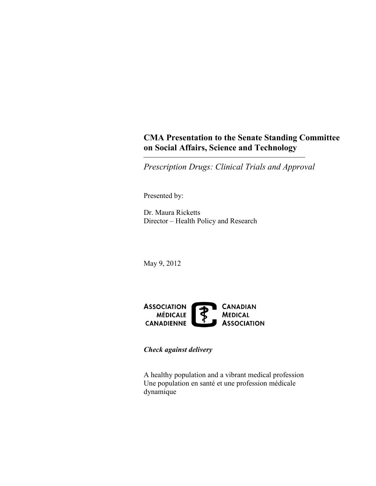## **CMA Presentation to the Senate Standing Committee on Social Affairs, Science and Technology**

*Prescription Drugs: Clinical Trials and Approval* 

Presented by:

Dr. Maura Ricketts Director – Health Policy and Research

May 9, 2012



*Check against delivery* 

A healthy population and a vibrant medical profession Une population en santé et une profession médicale dynamique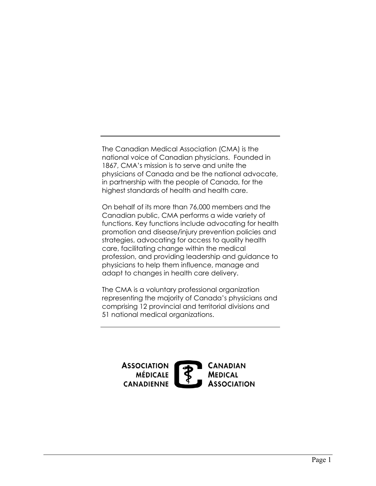The Canadian Medical Association (CMA) is the national voice of Canadian physicians. Founded in 1867, CMA's mission is to serve and unite the in partnership with the people of Canada, for the highest standards of health and health care. physicians of Canada and be the national advocate,

 Canadian public, CMA performs a wide variety of promotion and disease/injury prevention policies and strategies, advocating for access to quality health physicians to help them influence, manage and adapt to changes in health care delivery. On behalf of its more than 76,000 members and the functions. Key functions include advocating for health care, facilitating change within the medical profession, and providing leadership and guidance to

 The CMA is a voluntary professional organization 51 national medical organizations. representing the majority of Canada's physicians and comprising 12 provincial and territorial divisions and

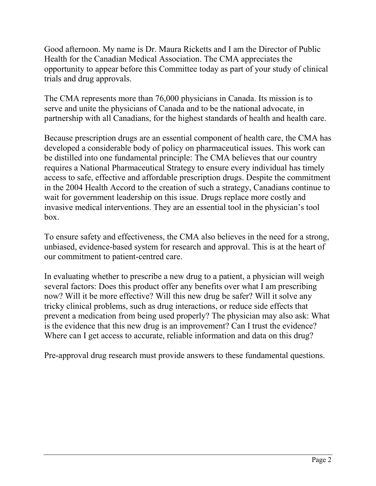Good afternoon. My name is Dr. Maura Ricketts and I am the Director of Public opportunity to appear before this Committee today as part of your study of clinical trials and drug approvals. Health for the Canadian Medical Association. The CMA appreciates the

 The CMA represents more than 76,000 physicians in Canada. Its mission is to serve and unite the physicians of Canada and to be the national advocate, in partnership with all Canadians, for the highest standards of health and health care.

 Because prescription drugs are an essential component of health care, the CMA has developed a considerable body of policy on pharmaceutical issues. This work can be distilled into one fundamental principle: The CMA believes that our country requires a National Pharmaceutical Strategy to ensure every individual has timely access to safe, effective and affordable prescription drugs. Despite the commitment wait for government leadership on this issue. Drugs replace more costly and in the 2004 Health Accord to the creation of such a strategy, Canadians continue to invasive medical interventions. They are an essential tool in the physician's tool box.

 To ensure safety and effectiveness, the CMA also believes in the need for a strong, unbiased, evidence-based system for research and approval. This is at the heart of our commitment to patient-centred care.

 In evaluating whether to prescribe a new drug to a patient, a physician will weigh several factors: Does this product offer any benefits over what I am prescribing now? Will it be more effective? Will this new drug be safer? Will it solve any tricky clinical problems, such as drug interactions, or reduce side effects that prevent a medication from being used properly? The physician may also ask: What is the evidence that this new drug is an improvement? Can I trust the evidence? Where can I get access to accurate, reliable information and data on this drug?

Pre-approval drug research must provide answers to these fundamental questions.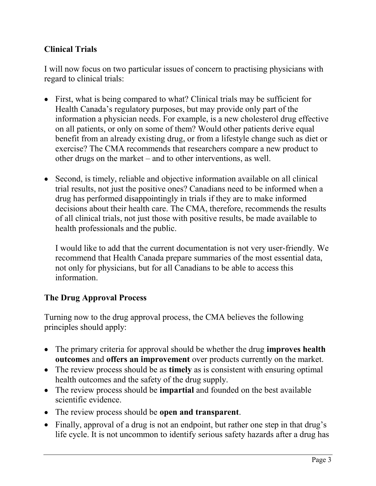## **Clinical Trials**

 I will now focus on two particular issues of concern to practising physicians with regard to clinical trials:

- First, what is being compared to what? Clinical trials may be sufficient for Health Canada's regulatory purposes, but may provide only part of the on all patients, or only on some of them? Would other patients derive equal benefit from an already existing drug, or from a lifestyle change such as diet or other drugs on the market – and to other interventions, as well. information a physician needs. For example, is a new cholesterol drug effective exercise? The CMA recommends that researchers compare a new product to
- Second, is timely, reliable and objective information available on all clinical trial results, not just the positive ones? Canadians need to be informed when a drug has performed disappointingly in trials if they are to make informed decisions about their health care. The CMA, therefore, recommends the results health professionals and the public. of all clinical trials, not just those with positive results, be made available to

 I would like to add that the current documentation is not very user-friendly. We recommend that Health Canada prepare summaries of the most essential data, not only for physicians, but for all Canadians to be able to access this information.

## **The Drug Approval Process**

 Turning now to the drug approval process, the CMA believes the following principles should apply:

- The primary criteria for approval should be whether the drug **improves health outcomes** and **offers an improvement** over products currently on the market.
- The review process should be as **timely** as is consistent with ensuring optimal health outcomes and the safety of the drug supply.
- The review process should be **impartial** and founded on the best available scientific evidence.
- The review process should be **open and transparent**.
- life cycle. It is not uncommon to identify serious safety hazards after a drug has • Finally, approval of a drug is not an endpoint, but rather one step in that drug's